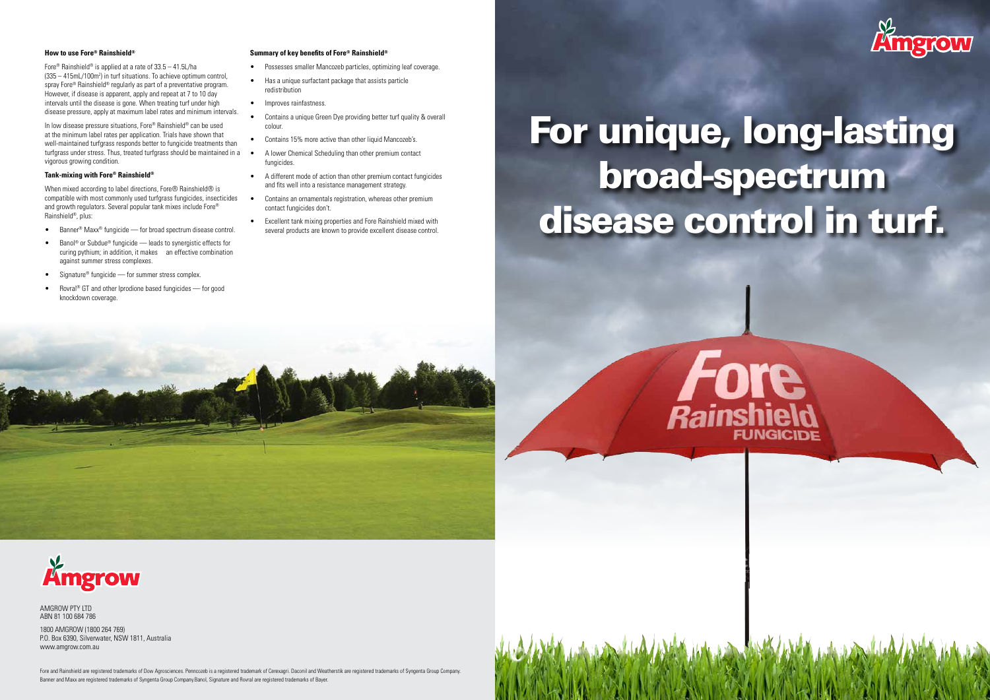# For unique, long-lasting broad-spectrum disease control in turf.





### **How to use Fore® Rainshield®**

Fore® Rainshield® is applied at a rate of 33.5 – 41.5L/ha (335 – 415mL/100m<sup>2</sup>) in turf situations. To achieve optimum control, spray Fore® Rainshield® regularly as part of a preventative program. However, if disease is apparent, apply and repeat at 7 to 10 day intervals until the disease is gone. When treating turf under high disease pressure, apply at maximum label rates and minimum intervals.

When mixed according to label directions, Fore<sup>®</sup> Rainshield<sup>®</sup> is compatible with most commonly used turfgrass fungicides, insecticides and growth regulators. Several popular tank mixes include Fore® Rainshield®, plus:

In low disease pressure situations, Fore® Rainshield® can be used at the minimum label rates per application. Trials have shown that well-maintained turfgrass responds better to fungicide treatments than turfgrass under stress. Thus, treated turfgrass should be maintained in a vigorous growing condition.

#### **Tank-mixing with Fore® Rainshield®**

- Banner® Maxx® fungicide for broad spectrum disease control.
- Banol® or Subdue® fungicide leads to synergistic effects for curing pythium; in addition, it makes an effective combination against summer stress complexes.
- Signature® fungicide for summer stress complex.
- Rovral<sup>®</sup> GT and other Iprodione based fungicides for good knockdown coverage.

Fore and Rainshield are registered trademarks of Dow Agrosciences. Penncozeb is a registered trademark of Cerexagri. Daconil and Weatherstik are registered trademarks of Syngenta Group Company. Banner and Maxx are registered trademarks of Syngenta Group Company.Banol, Signature and Rovral are registered trademarks of Bayer.





#### **Summary of key benefits of Fore® Rainshield®**

- Possesses smaller Mancozeb particles, optimizing leaf coverage.
- Has a unique surfactant package that assists particle redistribution
- Improves rainfastness.
- Contains a unique Green Dye providing better turf quality & overall colour.
- Contains 15% more active than other liquid Mancozeb's.
- A lower Chemical Scheduling than other premium contact fungicides.
- A different mode of action than other premium contact fungicides and fits well into a resistance management strategy.
- Contains an ornamentals registration, whereas other premium contact fungicides don't.
- Excellent tank mixing properties and Fore Rainshield mixed with several products are known to provide excellent disease control.

AMGROW PTY LTD ABN 81 100 684 786

1800 AMGROW (1800 264 769) P.O. Box 6390, Silverwater, NSW 1811, Australia www.amgrow.com.au